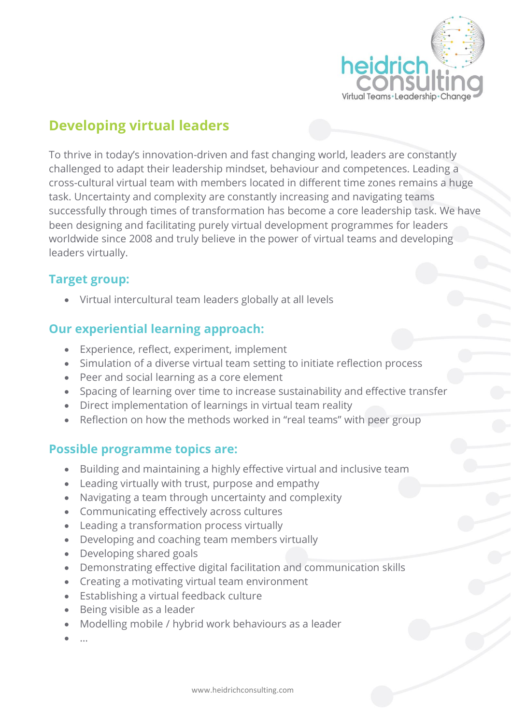

# **Developing virtual leaders**

To thrive in today's innovation-driven and fast changing world, leaders are constantly challenged to adapt their leadership mindset, behaviour and competences. Leading a cross-cultural virtual team with members located in different time zones remains a huge task. Uncertainty and complexity are constantly increasing and navigating teams successfully through times of transformation has become a core leadership task. We have been designing and facilitating purely virtual development programmes for leaders worldwide since 2008 and truly believe in the power of virtual teams and developing leaders virtually.

## **Target group:**

• Virtual intercultural team leaders globally at all levels

## **Our experiential learning approach:**

- Experience, reflect, experiment, implement
- Simulation of a diverse virtual team setting to initiate reflection process
- Peer and social learning as a core element
- Spacing of learning over time to increase sustainability and effective transfer
- Direct implementation of learnings in virtual team reality
- Reflection on how the methods worked in "real teams" with peer group

### **Possible programme topics are:**

- Building and maintaining a highly effective virtual and inclusive team
- Leading virtually with trust, purpose and empathy
- Navigating a team through uncertainty and complexity
- Communicating effectively across cultures
- Leading a transformation process virtually
- Developing and coaching team members virtually
- Developing shared goals
- Demonstrating effective digital facilitation and communication skills
- Creating a motivating virtual team environment
- Establishing a virtual feedback culture
- Being visible as a leader
- Modelling mobile / hybrid work behaviours as a leader
- …